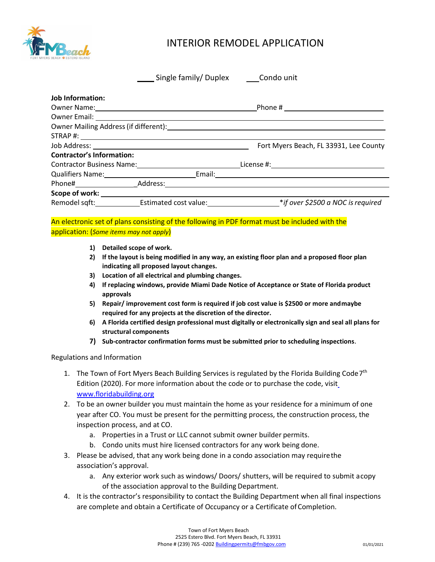

# INTERIOR REMODEL APPLICATION

|                                  | Single family/Duplex Condo unit                                                                                                                                                                                                |                                        |
|----------------------------------|--------------------------------------------------------------------------------------------------------------------------------------------------------------------------------------------------------------------------------|----------------------------------------|
| <b>Job Information:</b>          |                                                                                                                                                                                                                                |                                        |
|                                  | Owner Name: 1988 and 2008 and 2008 and 2008 and 2008 and 2008 and 2008 and 2008 and 2008 and 2008 and 2008 and                                                                                                                 | Phone # $\sqrt{ }$                     |
|                                  |                                                                                                                                                                                                                                |                                        |
|                                  |                                                                                                                                                                                                                                |                                        |
|                                  |                                                                                                                                                                                                                                |                                        |
|                                  |                                                                                                                                                                                                                                | Fort Myers Beach, FL 33931, Lee County |
| <b>Contractor's Information:</b> |                                                                                                                                                                                                                                |                                        |
|                                  | Contractor Business Name: 2008. 2010. 2012. 2014. 2015. 2016. 2017. 2018. 2019. 2017. 2018. 2019. 2017. 2018. 2019. 2017. 2018. 2019. 2017. 2018. 2019. 2019. 2019. 2019. 2019. 2019. 2019. 2019. 2019. 2019. 2019. 2019. 2019 |                                        |
| <b>Qualifiers Name:</b> Name:    | Email:                                                                                                                                                                                                                         |                                        |
|                                  |                                                                                                                                                                                                                                |                                        |
|                                  |                                                                                                                                                                                                                                |                                        |
|                                  | Remodel sqft: Estimated cost value:                                                                                                                                                                                            | *if over \$2500 a NOC is required      |

## An electronic set of plans consisting of the following in PDF format must be included with the application: (*Some items may not apply*)

- **1) Detailed scope of work.**
- **2) If the layout is being modified in any way, an existing floor plan and a proposed floor plan indicating all proposed layout changes.**
- **3) Location of all electrical and plumbing changes.**
- **4) If replacing windows, provide Miami Dade Notice of Acceptance or State of Florida product approvals**
- **5) Repair/ improvement cost form is required if job cost value is \$2500 or more andmaybe required for any projects at the discretion of the director.**
- **6) A Florida certified design professional must digitally or electronically sign and seal all plans for structural components**
- **7) Sub-contractor confirmation forms must be submitted prior to scheduling inspections**.

### Regulations and Information

- 1. The Town of Fort Myers Beach Building Services is regulated by the Florida Building Code  $7<sup>th</sup>$ Edition (2020). For more information about the code or to purchase the code, visi[t](http://www.floridabuilding.org/) [www.floridabuilding.org](http://www.floridabuilding.org/)
- 2. To be an owner builder you must maintain the home as your residence for a minimum of one year after CO. You must be present for the permitting process, the construction process, the inspection process, and at CO.
	- a. Properties in a Trust or LLC cannot submit owner builder permits.
	- b. Condo units must hire licensed contractors for any work being done.
- 3. Please be advised, that any work being done in a condo association may requirethe association's approval.
	- a. Any exterior work such as windows/ Doors/ shutters, will be required to submit acopy of the association approval to the Building Department.
- 4. It is the contractor's responsibility to contact the Building Department when all final inspections are complete and obtain a Certificate of Occupancy or a Certificate of Completion.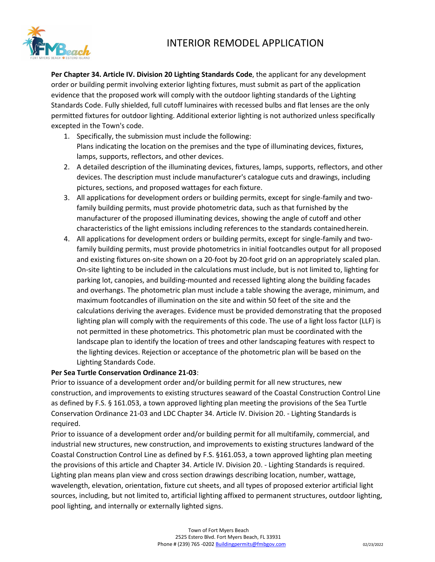# INTERIOR REMODEL APPLICATION



**Per Chapter 34. Article IV. Division 20 Lighting Standards Code**, the applicant for any development order or building permit involving exterior lighting fixtures, must submit as part of the application evidence that the proposed work will comply with the outdoor lighting standards of the Lighting Standards Code. Fully shielded, full cutoff luminaires with recessed bulbs and flat lenses are the only permitted fixtures for outdoor lighting. Additional exterior lighting is not authorized unless specifically excepted in the Town's code.

- 1. Specifically, the submission must include the following: Plans indicating the location on the premises and the type of illuminating devices, fixtures, lamps, supports, reflectors, and other devices.
- 2. A detailed description of the illuminating devices, fixtures, lamps, supports, reflectors, and other devices. The description must include manufacturer's catalogue cuts and drawings, including pictures, sections, and proposed wattages for each fixture.
- 3. All applications for development orders or building permits, except for single-family and twofamily building permits, must provide photometric data, such as that furnished by the manufacturer of the proposed illuminating devices, showing the angle of cutoff and other characteristics of the light emissions including references to the standards containedherein.
- 4. All applications for development orders or building permits, except for single-family and twofamily building permits, must provide photometrics in initial footcandles output for all proposed and existing fixtures on-site shown on a 20-foot by 20-foot grid on an appropriately scaled plan. On-site lighting to be included in the calculations must include, but is not limited to, lighting for parking lot, canopies, and building-mounted and recessed lighting along the building facades and overhangs. The photometric plan must include a table showing the average, minimum, and maximum footcandles of illumination on the site and within 50 feet of the site and the calculations deriving the averages. Evidence must be provided demonstrating that the proposed lighting plan will comply with the requirements of this code. The use of a light loss factor (LLF) is not permitted in these photometrics. This photometric plan must be coordinated with the landscape plan to identify the location of trees and other landscaping features with respect to the lighting devices. Rejection or acceptance of the photometric plan will be based on the Lighting Standards Code.

### **Per Sea Turtle Conservation Ordinance 21-03**:

Prior to issuance of a development order and/or building permit for all new structures, new construction, and improvements to existing structures seaward of the Coastal Construction Control Line as defined by F.S. § 161.053, a town approved lighting plan meeting the provisions of the Sea Turtle Conservation Ordinance 21-03 and LDC Chapter 34. Article IV. Division 20. - Lighting Standards is required.

Prior to issuance of a development order and/or building permit for all multifamily, commercial, and industrial new structures, new construction, and improvements to existing structures landward of the Coastal Construction Control Line as defined by F.S. §161.053, a town approved lighting plan meeting the provisions of this article and Chapter 34. Article IV. Division 20. - Lighting Standards is required. Lighting plan means plan view and cross section drawings describing location, number, wattage, wavelength, elevation, orientation, fixture cut sheets, and all types of proposed exterior artificial light sources, including, but not limited to, artificial lighting affixed to permanent structures, outdoor lighting, pool lighting, and internally or externally lighted signs.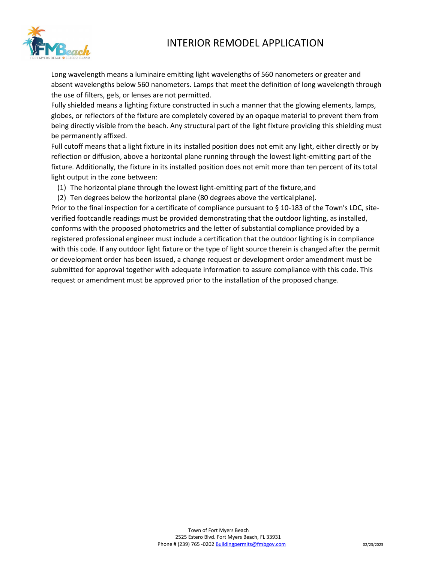## INTERIOR REMODEL APPLICATION



Long wavelength means a luminaire emitting light wavelengths of 560 nanometers or greater and absent wavelengths below 560 nanometers. Lamps that meet the definition of long wavelength through the use of filters, gels, or lenses are not permitted.

Fully shielded means a lighting fixture constructed in such a manner that the glowing elements, lamps, globes, or reflectors of the fixture are completely covered by an opaque material to prevent them from being directly visible from the beach. Any structural part of the light fixture providing this shielding must be permanently affixed.

Full cutoff means that a light fixture in its installed position does not emit any light, either directly or by reflection or diffusion, above a horizontal plane running through the lowest light-emitting part of the fixture. Additionally, the fixture in its installed position does not emit more than ten percent of its total light output in the zone between:

- (1) The horizontal plane through the lowest light-emitting part of the fixture,and
- (2) Ten degrees below the horizontal plane (80 degrees above the verticalplane).

Prior to the final inspection for a certificate of compliance pursuant to § 10-183 of the Town's LDC, siteverified footcandle readings must be provided demonstrating that the outdoor lighting, as installed, conforms with the proposed photometrics and the letter of substantial compliance provided by a registered professional engineer must include a certification that the outdoor lighting is in compliance with this code. If any outdoor light fixture or the type of light source therein is changed after the permit or development order has been issued, a change request or development order amendment must be submitted for approval together with adequate information to assure compliance with this code. This request or amendment must be approved prior to the installation of the proposed change.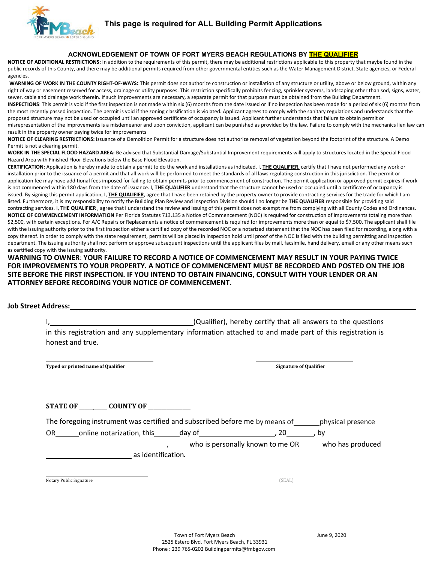

## **This page is required for ALL Building Permit Applications**

#### **ACKNOWLEDGEMENT OF TOWN OF FORT MYERS BEACH REGULATIONS BY THE QUALIFIER**

**NOTICE OF ADDITIONAL RESTRICTIONS:** In addition to the requirements of this permit, there may be additional restrictions applicable to this property that maybe found in the public records of this County, and there may be additional permits required from other governmental entities such as the Water Management District, State agencies, or Federal agencies.

WARNING OF WORK IN THE COUNTY RIGHT-OF-WAYS: This permit does not authorize construction or installation of any structure or utility, above or below ground, within any right of way or easement reserved for access, drainage or utility purposes. This restriction specifically prohibits fencing, sprinkler systems, landscaping other than sod, signs, water, sewer, cable and drainage work therein. If such improvements are necessary, a separate permit for that purpose must be obtained from the Building Department.

**INSPECTIONS**: This permit is void if the first inspection is not made within six (6) months from the date issued or if no inspection has been made for a period of six (6) months from the most recently passed inspection. The permit is void if the zoning classification is violated. Applicant agrees to comply with the sanitary regulations and understands that the proposed structure may not be used or occupied until an approved certificate of occupancy is issued. Applicant further understands that failure to obtain permit or misrepresentation of the improvements is a misdemeanor and upon conviction, applicant can be punished as provided by the law. Failure to comply with the mechanics lien law can result in the property owner paying twice for improvements

**NOTICE OF CLEARING RESTRICTIONS:** Issuance of a Demolition Permit for a structure does not authorize removal of vegetation beyond the footprint of the structure. A Demo Permit is not a clearing permit.

**WORK IN THE SPECIAL FLOOD HAZARD AREA:** Be advised that Substantial Damage/Substantial Improvement requirements will apply to structures located in the Special Flood Hazard Area with Finished Floor Elevations below the Base Flood Elevation.

**CERTIFICATION:** Application is hereby made to obtain a permit to do the work and installations as indicated. I, **THE QUALIFIER,** certify that I have not performed any work or installation prior to the issuance of a permit and that all work will be performed to meet the standards of all laws regulating construction in this jurisdiction. The permit or application fee may have additional fees imposed for failing to obtain permits prior to commencement of construction. The permit application or approved permit expires if work is not commenced within 180 days from the date of issuance. I, **THE QUALIFIER** understand that the structure cannot be used or occupied until a certificate of occupancy is issued. By signing this permit application, I, THE QUALIFIER, agree that I have been retained by the property owner to provide contracting services for the trade for which I am listed. Furthermore, it is my responsibility to notify the Building Plan Review and Inspection Division should I no longer be **THE QUALIFIER** responsible for providing said contracting services. I, **THE QUALIFIER** , agree that I understand the review and issuing of this permit does not exempt me from complying with all County Codes and Ordinances. NOTICE OF COMMENCEMENT INFORMATION Per Florida Statutes 713.135 a Notice of Commencement (NOC) is required for construction of improvements totaling more than \$2,500, with certain exceptions. For A/C Repairs or Replacements a notice of commencement is required for improvements more than or equal to \$7,500. The applicant shall file with the issuing authority prior to the first inspection either a certified copy of the recorded NOC or a notarized statement that the NOC has been filed for recording, along with a copy thereof. In order to comply with the state requirement, permits will be placed in inspection hold until proof of the NOC is filed with the building permitting and inspection department. The issuing authority shall not perform or approve subsequent inspections until the applicant files by mail, facsimile, hand delivery, email or any other means such as certified copy with the issuing authority.

**WARNING TO OWNER**: **YOUR FAILURE TO RECORD A NOTICE OF COMMENCEMENT MAY RESULT IN YOUR PAYING TWICE FOR IMPROVEMENTS TO YOUR PROPERTY. A NOTICE OF COMMENCEMENT MUST BE RECORDED AND POSTED ON THE JOB SITE BEFORE THE FIRST INSPECTION. IF YOU INTEND TO OBTAIN FINANCING, CONSULT WITH YOUR LENDER OR AN ATTORNEY BEFORE RECORDING YOUR NOTICE OF COMMENCEMENT.**

#### **Job Street Address:**

I, (Qualifier), hereby certify that all answers to the questions in this registration and any supplementary information attached to and made part of this registration is honest and true.

**Typed or printed name of Qualifier Signature of Qualifier**

**STATE OF \_\_\_\_\_ \_\_\_\_\_ COUNTY OF \_\_\_\_\_\_\_\_\_\_\_\_\_\_\_\_**

The foregoing instrument was certified and subscribed before me by means of physical presence

OR online notarization, this day of , 20 , by

who is personally known to me OR\_\_\_\_\_\_who has produced

as identification.

Notary Public Signature (SEAL)